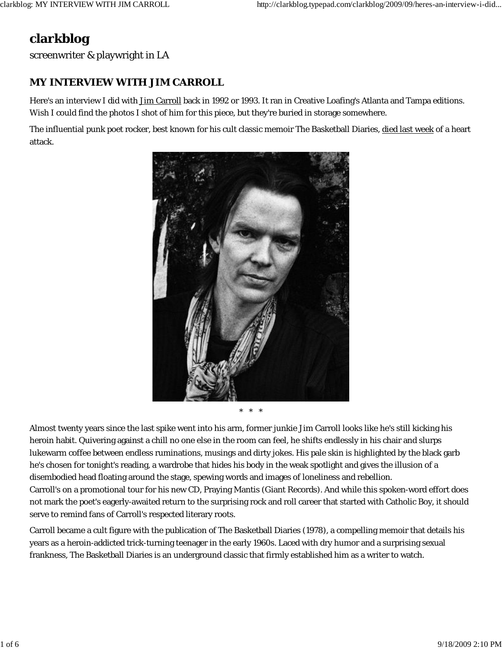## **clarkblog**

screenwriter & playwright in LA

## **MY INTERVIEW WITH JIM CARROLL**

Here's an interview I did with Jim Carroll back in 1992 or 1993. It ran in Creative Loafing's Atlanta and Tampa editions. Wish I could find the photos I shot of him for this piece, but they're buried in storage somewhere.

The influential punk poet rocker, best known for his cult classic memoir The Basketball Diaries, died last week of a heart attack.



\* \* \*

Almost twenty years since the last spike went into his arm, former junkie Jim Carroll looks like he's still kicking his heroin habit. Quivering against a chill no one else in the room can feel, he shifts endlessly in his chair and slurps lukewarm coffee between endless ruminations, musings and dirty jokes. His pale skin is highlighted by the black garb he's chosen for tonight's reading, a wardrobe that hides his body in the weak spotlight and gives the illusion of a disembodied head floating around the stage, spewing words and images of loneliness and rebellion. Carroll's on a promotional tour for his new CD, Praying Mantis (Giant Records). And while this spoken-word effort does not mark the poet's eagerly-awaited return to the surprising rock and roll career that started with Catholic Boy, it should serve to remind fans of Carroll's respected literary roots.

Carroll became a cult figure with the publication of The Basketball Diaries (1978), a compelling memoir that details his years as a heroin-addicted trick-turning teenager in the early 1960s. Laced with dry humor and a surprising sexual frankness, The Basketball Diaries is an underground classic that firmly established him as a writer to watch.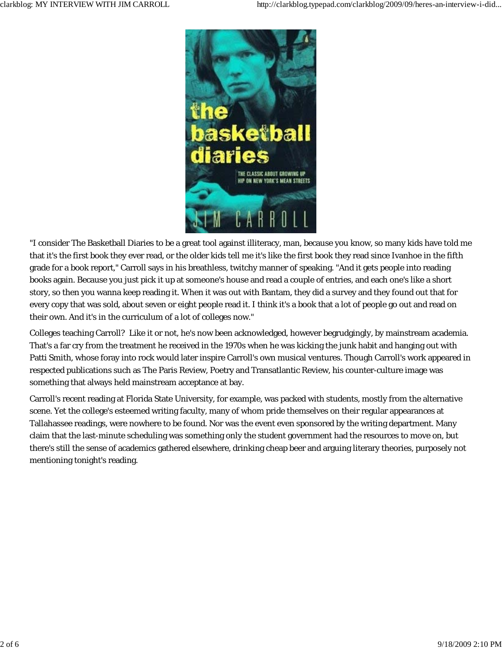

"I consider The Basketball Diaries to be a great tool against illiteracy, man, because you know, so many kids have told me that it's the first book they ever read, or the older kids tell me it's like the first book they read since Ivanhoe in the fifth grade for a book report," Carroll says in his breathless, twitchy manner of speaking. "And it gets people into reading books again. Because you just pick it up at someone's house and read a couple of entries, and each one's like a short story, so then you wanna keep reading it. When it was out with Bantam, they did a survey and they found out that for every copy that was sold, about seven or eight people read it. I think it's a book that a lot of people go out and read on their own. And it's in the curriculum of a lot of colleges now."

Colleges teaching Carroll? Like it or not, he's now been acknowledged, however begrudgingly, by mainstream academia. That's a far cry from the treatment he received in the 1970s when he was kicking the junk habit and hanging out with Patti Smith, whose foray into rock would later inspire Carroll's own musical ventures. Though Carroll's work appeared in respected publications such as The Paris Review, Poetry and Transatlantic Review, his counter-culture image was something that always held mainstream acceptance at bay.

Carroll's recent reading at Florida State University, for example, was packed with students, mostly from the alternative scene. Yet the college's esteemed writing faculty, many of whom pride themselves on their regular appearances at Tallahassee readings, were nowhere to be found. Nor was the event even sponsored by the writing department. Many claim that the last-minute scheduling was something only the student government had the resources to move on, but there's still the sense of academics gathered elsewhere, drinking cheap beer and arguing literary theories, purposely not mentioning tonight's reading.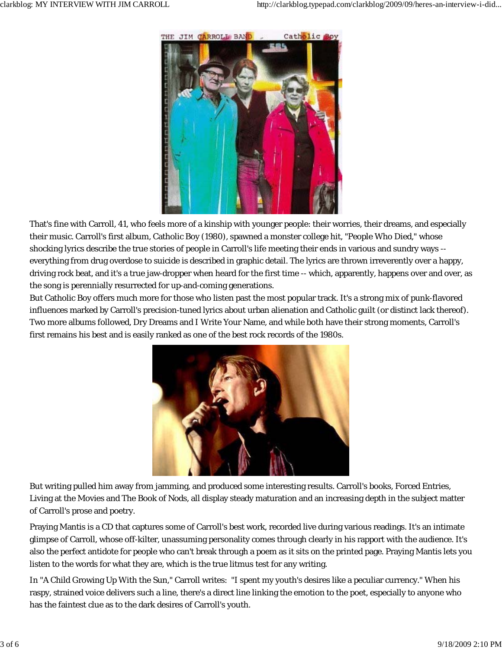

That's fine with Carroll, 41, who feels more of a kinship with younger people: their worries, their dreams, and especially their music. Carroll's first album, Catholic Boy (1980), spawned a monster college hit, "People Who Died," whose shocking lyrics describe the true stories of people in Carroll's life meeting their ends in various and sundry ways - everything from drug overdose to suicide is described in graphic detail. The lyrics are thrown irreverently over a happy, driving rock beat, and it's a true jaw-dropper when heard for the first time -- which, apparently, happens over and over, as the song is perennially resurrected for up-and-coming generations.

But Catholic Boy offers much more for those who listen past the most popular track. It's a strong mix of punk-flavored influences marked by Carroll's precision-tuned lyrics about urban alienation and Catholic guilt (or distinct lack thereof). Two more albums followed, Dry Dreams and I Write Your Name, and while both have their strong moments, Carroll's first remains his best and is easily ranked as one of the best rock records of the 1980s.



But writing pulled him away from jamming, and produced some interesting results. Carroll's books, Forced Entries, Living at the Movies and The Book of Nods, all display steady maturation and an increasing depth in the subject matter of Carroll's prose and poetry.

Praying Mantis is a CD that captures some of Carroll's best work, recorded live during various readings. It's an intimate glimpse of Carroll, whose off-kilter, unassuming personality comes through clearly in his rapport with the audience. It's also the perfect antidote for people who can't break through a poem as it sits on the printed page. Praying Mantis lets you listen to the words for what they are, which is the true litmus test for any writing.

In "A Child Growing Up With the Sun," Carroll writes: "I spent my youth's desires like a peculiar currency." When his raspy, strained voice delivers such a line, there's a direct line linking the emotion to the poet, especially to anyone who has the faintest clue as to the dark desires of Carroll's youth.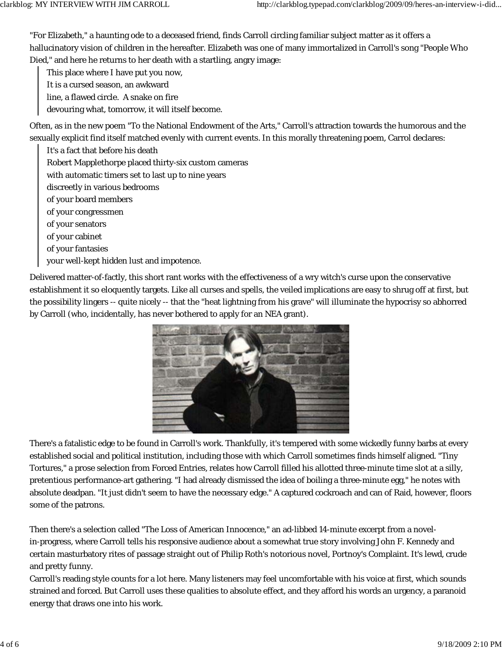"For Elizabeth," a haunting ode to a deceased friend, finds Carroll circling familiar subject matter as it offers a hallucinatory vision of children in the hereafter. Elizabeth was one of many immortalized in Carroll's song "People Who Died," and here he returns to her death with a startling, angry image:

This place where I have put you now,

- It is a cursed season, an awkward
- line, a flawed circle. A snake on fire
- devouring what, tomorrow, it will itself become.

Often, as in the new poem "To the National Endowment of the Arts," Carroll's attraction towards the humorous and the sexually explicit find itself matched evenly with current events. In this morally threatening poem, Carrol declares:

It's a fact that before his death Robert Mapplethorpe placed thirty-six custom cameras with automatic timers set to last up to nine years discreetly in various bedrooms of your board members of your congressmen of your senators of your cabinet of your fantasies your well-kept hidden lust and impotence.

Delivered matter-of-factly, this short rant works with the effectiveness of a wry witch's curse upon the conservative establishment it so eloquently targets. Like all curses and spells, the veiled implications are easy to shrug off at first, but the possibility lingers -- quite nicely -- that the "heat lightning from his grave" will illuminate the hypocrisy so abhorred by Carroll (who, incidentally, has never bothered to apply for an NEA grant).



There's a fatalistic edge to be found in Carroll's work. Thankfully, it's tempered with some wickedly funny barbs at every established social and political institution, including those with which Carroll sometimes finds himself aligned. "Tiny Tortures," a prose selection from Forced Entries, relates how Carroll filled his allotted three-minute time slot at a silly, pretentious performance-art gathering. "I had already dismissed the idea of boiling a three-minute egg," he notes with absolute deadpan. "It just didn't seem to have the necessary edge." A captured cockroach and can of Raid, however, floors some of the patrons.

Then there's a selection called "The Loss of American Innocence," an ad-libbed 14-minute excerpt from a novelin-progress, where Carroll tells his responsive audience about a somewhat true story involving John F. Kennedy and certain masturbatory rites of passage straight out of Philip Roth's notorious novel, Portnoy's Complaint. It's lewd, crude and pretty funny.

Carroll's reading style counts for a lot here. Many listeners may feel uncomfortable with his voice at first, which sounds strained and forced. But Carroll uses these qualities to absolute effect, and they afford his words an urgency, a paranoid energy that draws one into his work.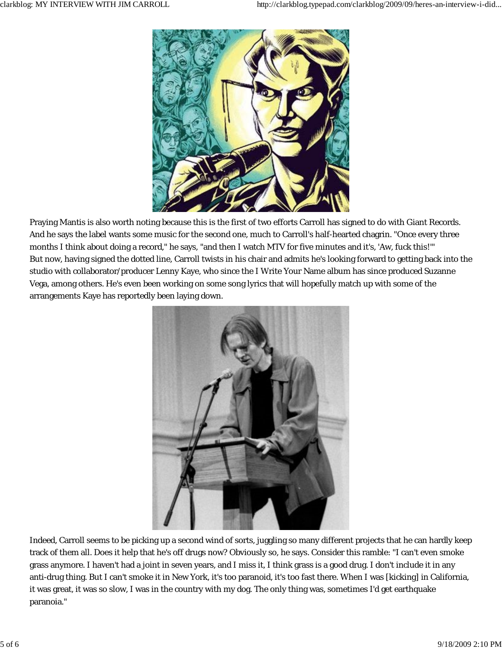

Praying Mantis is also worth noting because this is the first of two efforts Carroll has signed to do with Giant Records. And he says the label wants some music for the second one, much to Carroll's half-hearted chagrin. "Once every three months I think about doing a record," he says, "and then I watch MTV for five minutes and it's, 'Aw, fuck this!'" But now, having signed the dotted line, Carroll twists in his chair and admits he's looking forward to getting back into the studio with collaborator/producer Lenny Kaye, who since the I Write Your Name album has since produced Suzanne Vega, among others. He's even been working on some song lyrics that will hopefully match up with some of the arrangements Kaye has reportedly been laying down.



Indeed, Carroll seems to be picking up a second wind of sorts, juggling so many different projects that he can hardly keep track of them all. Does it help that he's off drugs now? Obviously so, he says. Consider this ramble: "I can't even smoke grass anymore. I haven't had a joint in seven years, and I miss it, I think grass is a good drug. I don't include it in any anti-drug thing. But I can't smoke it in New York, it's too paranoid, it's too fast there. When I was [kicking] in California, it was great, it was so slow, I was in the country with my dog. The only thing was, sometimes I'd get earthquake paranoia."